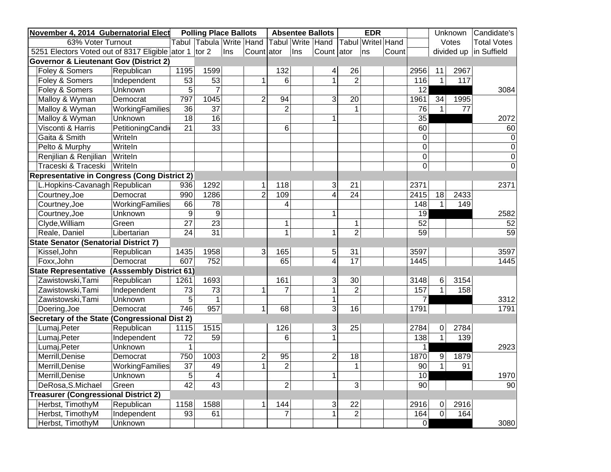| November 4, 2014 Gubernatorial Elect                  |                  |                 | <b>Polling Place Ballots</b> |     |                         |                |     | <b>Absentee Ballots</b> |                 | <b>EDR</b> |                    |                 |                 | Unknown         | Candidate's              |
|-------------------------------------------------------|------------------|-----------------|------------------------------|-----|-------------------------|----------------|-----|-------------------------|-----------------|------------|--------------------|-----------------|-----------------|-----------------|--------------------------|
| 63% Voter Turnout                                     |                  |                 | Tabul Tabula Write Hand      |     |                         | Tabul Write    |     | Hand                    | Tabul           |            | <b>Writel</b> Hand |                 |                 | Votes           | <b>Total Votes</b>       |
| 5251 Electors Voted out of 8317 Eligible ator 1 tor 2 |                  |                 |                              | Ins | Count ator              |                | Ins | Count ator              |                 | ns         | Count              |                 |                 |                 | divided up   in Suffield |
| <b>Governor &amp; Lieutenant Gov (District 2)</b>     |                  |                 |                              |     |                         |                |     |                         |                 |            |                    |                 |                 |                 |                          |
| Foley & Somers                                        | Republican       | 1195            | 1599                         |     |                         | 132            |     | $\overline{4}$          | 26              |            |                    | 2956            | 11              | 2967            |                          |
| Foley & Somers                                        | Independent      | $\overline{53}$ | 53                           |     | 1                       | 6              |     |                         | $\overline{2}$  |            |                    | 116             | $\mathbf{1}$    | 117             |                          |
| Foley & Somers                                        | <b>Unknown</b>   | 5               | 7                            |     |                         |                |     |                         |                 |            |                    | $\overline{12}$ |                 |                 | 3084                     |
| Malloy & Wyman                                        | Democrat         | 797             | 1045                         |     | $\overline{2}$          | 94             |     | 3                       | 20              |            |                    | 1961            | $\overline{34}$ | 1995            |                          |
| Malloy & Wyman                                        | WorkingFamilies  | 36              | 37                           |     |                         | $\overline{2}$ |     |                         | $\overline{1}$  |            |                    | 76              | $\overline{1}$  | $\overline{77}$ |                          |
| Malloy & Wyman                                        | Unknown          | 18              | 16                           |     |                         |                |     | 1                       |                 |            |                    | $\overline{35}$ |                 |                 | 2072                     |
| Visconti & Harris                                     | PetitioningCandi | 21              | 33                           |     |                         | 6              |     |                         |                 |            |                    | 60              |                 |                 | 60                       |
| Gaita & Smith                                         | WriteIn          |                 |                              |     |                         |                |     |                         |                 |            |                    | $\mathbf 0$     |                 |                 | 0                        |
| Pelto & Murphy                                        | WriteIn          |                 |                              |     |                         |                |     |                         |                 |            |                    | 0               |                 |                 | $\mathbf 0$              |
| Renjilian & Renjilian                                 | WriteIn          |                 |                              |     |                         |                |     |                         |                 |            |                    | $\mathbf 0$     |                 |                 | $\overline{0}$           |
| Traceski & Traceski                                   | WriteIn          |                 |                              |     |                         |                |     |                         |                 |            |                    | $\mathbf 0$     |                 |                 | $\overline{0}$           |
| <b>Representative in Congress (Cong District 2)</b>   |                  |                 |                              |     |                         |                |     |                         |                 |            |                    |                 |                 |                 |                          |
| L.Hopkins-Cavanagh Republican                         |                  | 936             | 1292                         |     | 1                       | 118            |     | 3                       | 21              |            |                    | 2371            |                 |                 | 2371                     |
| Courtney, Joe                                         | Democrat         | 990             | 1286                         |     | $\overline{2}$          | 109            |     | 4                       | $\overline{24}$ |            |                    | 2415            | $\overline{18}$ | 2433            |                          |
| Courtney, Joe                                         | WorkingFamilies  | 66              | $\overline{78}$              |     |                         | 4              |     |                         |                 |            |                    | 148             | $\mathbf{1}$    | 149             |                          |
| Courtney, Joe                                         | Unknown          | 9               | $\overline{9}$               |     |                         |                |     | $\mathbf 1$             |                 |            |                    | $\overline{19}$ |                 |                 | 2582                     |
| Clyde, William                                        | Green            | 27              | $\overline{23}$              |     |                         | 1              |     |                         | $\mathbf 1$     |            |                    | 52              |                 |                 | 52                       |
| Reale, Daniel                                         | Libertarian      | 24              | $\overline{31}$              |     |                         | $\mathbf{1}$   |     | 1                       | $\overline{2}$  |            |                    | 59              |                 |                 | 59                       |
| <b>State Senator (Senatorial District 7)</b>          |                  |                 |                              |     |                         |                |     |                         |                 |            |                    |                 |                 |                 |                          |
| Kissel, John                                          | Republican       | 1435            | 1958                         |     | 3                       | 165            |     | 5                       | 31              |            |                    | 3597            |                 |                 | 3597                     |
| Foxx, John                                            | Democrat         | 607             | 752                          |     |                         | 65             |     | 4                       | $\overline{17}$ |            |                    | 1445            |                 |                 | 1445                     |
| <b>State Representative (Asssembly District 61)</b>   |                  |                 |                              |     |                         |                |     |                         |                 |            |                    |                 |                 |                 |                          |
| Zawistowski, Tami                                     | Republican       | 1261            | 1693                         |     |                         | 161            |     | $\mathfrak{S}$          | 30              |            |                    | 3148            | 6               | 3154            |                          |
| Zawistowski, Tami                                     | Independent      | 73              | $\overline{73}$              |     | $\mathbf{1}$            | $\overline{7}$ |     | 1                       | $\overline{2}$  |            |                    | 157             | $\mathbf{1}$    | 158             |                          |
| Zawistowski, Tami                                     | Unknown          | 5               | $\overline{1}$               |     |                         |                |     | $\mathbf{1}$            |                 |            |                    | $\overline{7}$  |                 |                 | 3312                     |
| Doering, Joe                                          | Democrat         | 746             | 957                          |     | $\mathbf{1}$            | 68             |     | 3                       | $\overline{16}$ |            |                    | 1791            |                 |                 | 1791                     |
| Secretary of the State (Congressional Dist 2)         |                  |                 |                              |     |                         |                |     |                         |                 |            |                    |                 |                 |                 |                          |
| Lumaj, Peter                                          | Republican       | 1115            | 1515                         |     |                         | 126            |     | $\overline{3}$          | 25              |            |                    | 2784            | 0               | 2784            |                          |
| Lumaj, Peter                                          | Independent      | $\overline{72}$ | 59                           |     |                         | 6              |     | 1                       |                 |            |                    | 138             | $\overline{1}$  | 139             |                          |
| Lumaj, Peter                                          | <b>Unknown</b>   | 1               |                              |     |                         |                |     |                         |                 |            |                    | 1               |                 |                 | 2923                     |
| Merrill, Denise                                       | Democrat         | 750             | 1003                         |     | $\overline{\mathbf{c}}$ | 95             |     | $\overline{2}$          | 18              |            |                    | 1870            | 9               | 1879            |                          |
| Merrill, Denise                                       | WorkingFamilies  | $\overline{37}$ | 49                           |     | $\overline{1}$          | $\overline{2}$ |     |                         | $\mathbf{1}$    |            |                    | $\overline{90}$ | $\overline{1}$  | $\overline{91}$ |                          |
| Merrill, Denise                                       | Unknown          | 5               | $\overline{\mathbf{4}}$      |     |                         |                |     | 1                       |                 |            |                    | 10              |                 |                 | 1970                     |
| DeRosa, S. Michael                                    | Green            | 42              | 43                           |     |                         | $\overline{2}$ |     |                         | 3               |            |                    | 90              |                 |                 | $\overline{90}$          |
| <b>Treasurer (Congressional District 2)</b>           |                  |                 |                              |     |                         |                |     |                         |                 |            |                    |                 |                 |                 |                          |
| Herbst, TimothyM                                      | Republican       | 1158            | 1588                         |     | 1                       | 144            |     | 3                       | 22              |            |                    | 2916            | 0               | 2916            |                          |
| Herbst, TimothyM                                      | Independent      | $\overline{93}$ | 61                           |     |                         | $\overline{7}$ |     | 1                       | $\overline{2}$  |            |                    | 164             | $\mathbf 0$     | 164             |                          |
| Herbst, TimothyM                                      | Unknown          |                 |                              |     |                         |                |     |                         |                 |            |                    | $\overline{0}$  |                 |                 | 3080                     |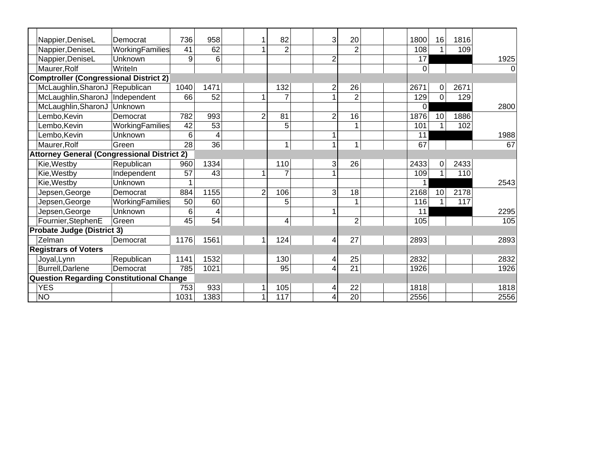| Nappier, DeniseL                                   | Democrat               | 736  | 958             |                | 82             | 3              | 20              | 1800 | 16           | 1816 |      |
|----------------------------------------------------|------------------------|------|-----------------|----------------|----------------|----------------|-----------------|------|--------------|------|------|
| Nappier, DeniseL                                   | WorkingFamilies        | 41   | 62              |                | $\overline{2}$ |                | $\overline{2}$  | 108  | 1            | 109  |      |
| Nappier, DeniseL                                   | Unknown                | 9    | 6               |                |                | $\overline{2}$ |                 | 17   |              |      | 1925 |
| Maurer, Rolf                                       | Writeln                |      |                 |                |                |                |                 | 0    |              |      | 0    |
| <b>Comptroller (Congressional District 2)</b>      |                        |      |                 |                |                |                |                 |      |              |      |      |
| McLaughlin, SharonJ                                | Republican             | 1040 | 1471            |                | 132            | $\overline{2}$ | 26              | 2671 | 0            | 2671 |      |
| McLaughlin, SharonJ                                | Independent            | 66   | 52              |                | $\overline{7}$ | $\overline{ }$ | $\overline{2}$  | 129  | 0            | 129  |      |
| McLaughlin, SharonJ                                | Unknown                |      |                 |                |                |                |                 | 0    |              |      | 2800 |
| Lembo, Kevin                                       | Democrat               | 782  | 993             | 2              | 81             | $\overline{2}$ | $\overline{16}$ | 1876 | 10           | 1886 |      |
| Lembo, Kevin                                       | <b>WorkingFamilies</b> | 42   | 53              |                | 5              |                | 1               | 101  | 1            | 102  |      |
| Lembo, Kevin                                       | Unknown                | 6    | 4               |                |                |                |                 | 11   |              |      | 1988 |
| Maurer, Rolf                                       | Green                  | 28   | 36              |                | $\mathbf 1$    |                | 1               | 67   |              |      | 67   |
| <b>Attorney General (Congressional District 2)</b> |                        |      |                 |                |                |                |                 |      |              |      |      |
| Kie, Westby                                        | Republican             | 960  | 1334            |                | 110            | 3              | 26              | 2433 | 0            | 2433 |      |
| Kie, Westby                                        | Independent            | 57   | 43              |                | $\overline{7}$ |                |                 | 109  | $\mathbf{1}$ | 110  |      |
| Kie, Westby                                        | Unknown                |      |                 |                |                |                |                 |      |              |      | 2543 |
| Jepsen, George                                     | Democrat               | 884  | 1155            | $\overline{2}$ | 106            | 3              | 18              | 2168 | 10           | 2178 |      |
| Jepsen, George                                     | WorkingFamilies        | 50   | 60              |                | 5              |                |                 | 116  | 1            | 117  |      |
| Jepsen, George                                     | Unknown                | 6    | 4               |                |                | 1              |                 | 11   |              |      | 2295 |
| Fournier, StephenE                                 | Green                  | 45   | $\overline{54}$ |                | 4              |                | $\overline{2}$  | 105  |              |      | 105  |
| <b>Probate Judge (District 3)</b>                  |                        |      |                 |                |                |                |                 |      |              |      |      |
| Zelman                                             | Democrat               | 1176 | 1561            |                | 124            | 4              | 27              | 2893 |              |      | 2893 |
| <b>Registrars of Voters</b>                        |                        |      |                 |                |                |                |                 |      |              |      |      |
| Joyal, Lynn                                        | Republican             | 1141 | 1532            |                | 130            | 4              | 25              | 2832 |              |      | 2832 |
| <b>Burrell, Darlene</b>                            | Democrat               | 785  | 1021            |                | 95             | 4              | 21              | 1926 |              |      | 1926 |
| Question Regarding Constitutional Change           |                        |      |                 |                |                |                |                 |      |              |      |      |
| <b>YES</b>                                         |                        | 753  | 933             |                | 105            | 4              | 22              | 1818 |              |      | 1818 |
| <b>NO</b>                                          |                        | 1031 | 1383            |                | 117            | 4              | $\overline{20}$ | 2556 |              |      | 2556 |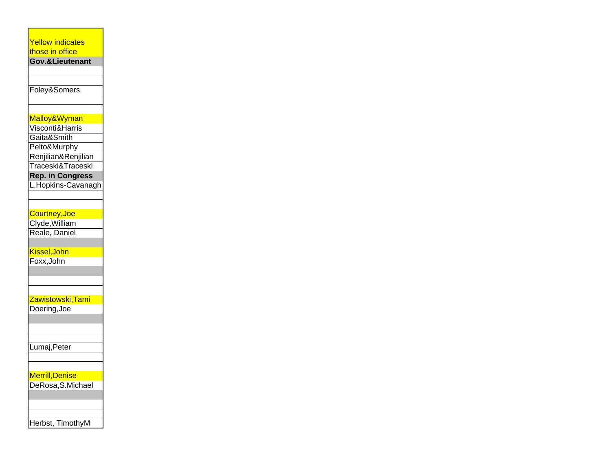#### Yellow indicates those in office

**Gov.&Lieutenant**

Foley&Somers

# Malloy&Wyman

Visconti&Harris

Gaita&Smith

Pelto&Murphy

Renjilian&Renjilian

Traceski&Traceski

## **Rep. in Congress**

L.Hopkins-Cavanagh

### Courtney,Joe

Clyde,William Reale, Daniel

### Kissel,John

Foxx,John

### Zawistowski,Tami

Doering,Joe

Lumaj,Peter

# Merrill,Denise

DeRosa, S.Michael

| Herbst, TimothyM |  |
|------------------|--|